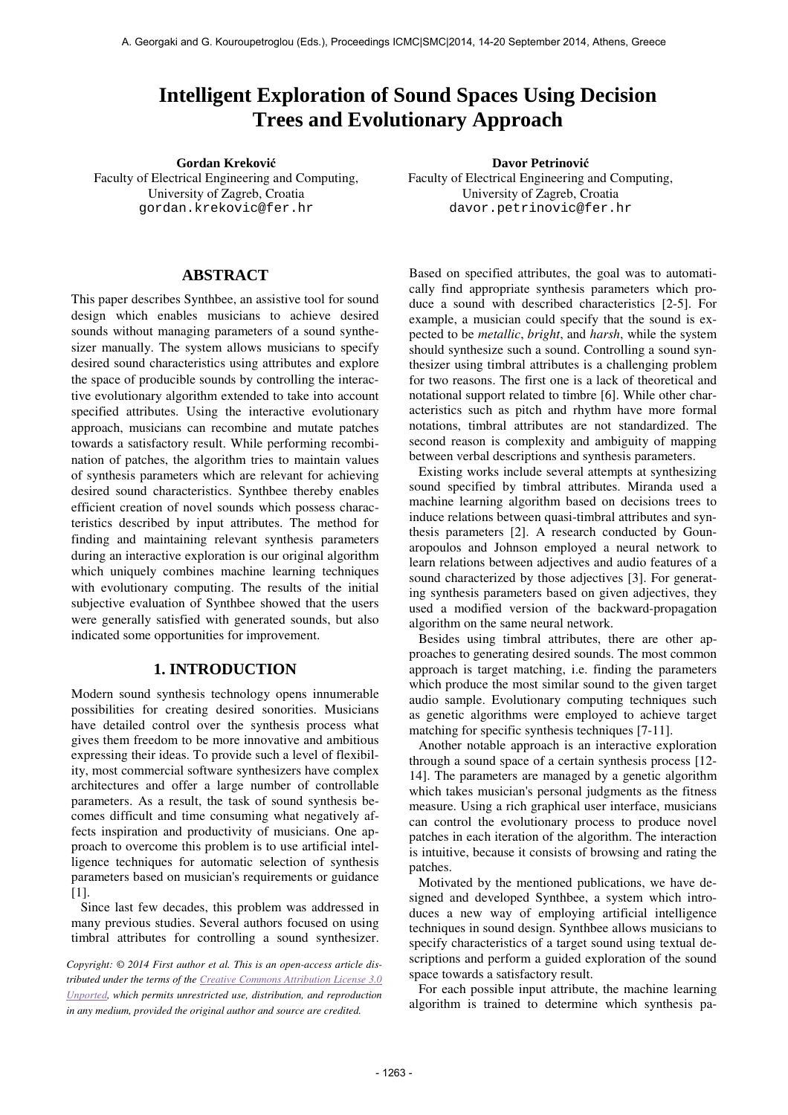# **Intelligent Exploration of Sound Spaces Using Decision Trees and Evolutionary Approach**

**Gordan Krekovi**ć **Davor Petrinovi**ć Faculty of Electrical Engineering and Computing, University of Zagreb, Croatia gordan.krekovic@fer.hr

**ABSTRACT** 

This paper describes Synthbee, an assistive tool for sound design which enables musicians to achieve desired sounds without managing parameters of a sound synthesizer manually. The system allows musicians to specify desired sound characteristics using attributes and explore the space of producible sounds by controlling the interactive evolutionary algorithm extended to take into account specified attributes. Using the interactive evolutionary approach, musicians can recombine and mutate patches towards a satisfactory result. While performing recombination of patches, the algorithm tries to maintain values of synthesis parameters which are relevant for achieving desired sound characteristics. Synthbee thereby enables efficient creation of novel sounds which possess characteristics described by input attributes. The method for finding and maintaining relevant synthesis parameters during an interactive exploration is our original algorithm which uniquely combines machine learning techniques with evolutionary computing. The results of the initial subjective evaluation of Synthbee showed that the users were generally satisfied with generated sounds, but also indicated some opportunities for improvement.

# **1. INTRODUCTION**

Modern sound synthesis technology opens innumerable possibilities for creating desired sonorities. Musicians have detailed control over the synthesis process what gives them freedom to be more innovative and ambitious expressing their ideas. To provide such a level of flexibility, most commercial software synthesizers have complex architectures and offer a large number of controllable parameters. As a result, the task of sound synthesis becomes difficult and time consuming what negatively affects inspiration and productivity of musicians. One approach to overcome this problem is to use artificial intelligence techniques for automatic selection of synthesis parameters based on musician's requirements or guidance [1].

Since last few decades, this problem was addressed in many previous studies. Several authors focused on using timbral attributes for controlling a sound synthesizer.

*Copyright: © 2014 First author et al. This is an open-access article distributed under the terms of the Creative Commons Attribution License 3.0 Unported, which permits unrestricted use, distribution, and reproduction in any medium, provided the original author and source are credited.* 

Faculty of Electrical Engineering and Computing, University of Zagreb, Croatia davor.petrinovic@fer.hr

Based on specified attributes, the goal was to automatically find appropriate synthesis parameters which produce a sound with described characteristics [2-5]. For example, a musician could specify that the sound is expected to be *metallic*, *bright*, and *harsh*, while the system should synthesize such a sound. Controlling a sound synthesizer using timbral attributes is a challenging problem for two reasons. The first one is a lack of theoretical and notational support related to timbre [6]. While other characteristics such as pitch and rhythm have more formal notations, timbral attributes are not standardized. The second reason is complexity and ambiguity of mapping between verbal descriptions and synthesis parameters.

Existing works include several attempts at synthesizing sound specified by timbral attributes. Miranda used a machine learning algorithm based on decisions trees to induce relations between quasi-timbral attributes and synthesis parameters [2]. A research conducted by Gounaropoulos and Johnson employed a neural network to learn relations between adjectives and audio features of a sound characterized by those adjectives [3]. For generating synthesis parameters based on given adjectives, they used a modified version of the backward-propagation algorithm on the same neural network.

Besides using timbral attributes, there are other approaches to generating desired sounds. The most common approach is target matching, i.e. finding the parameters which produce the most similar sound to the given target audio sample. Evolutionary computing techniques such as genetic algorithms were employed to achieve target matching for specific synthesis techniques [7-11].

Another notable approach is an interactive exploration through a sound space of a certain synthesis process [12- 14]. The parameters are managed by a genetic algorithm which takes musician's personal judgments as the fitness measure. Using a rich graphical user interface, musicians can control the evolutionary process to produce novel patches in each iteration of the algorithm. The interaction is intuitive, because it consists of browsing and rating the patches.

Motivated by the mentioned publications, we have designed and developed Synthbee, a system which introduces a new way of employing artificial intelligence techniques in sound design. Synthbee allows musicians to specify characteristics of a target sound using textual descriptions and perform a guided exploration of the sound space towards a satisfactory result.

For each possible input attribute, the machine learning algorithm is trained to determine which synthesis pa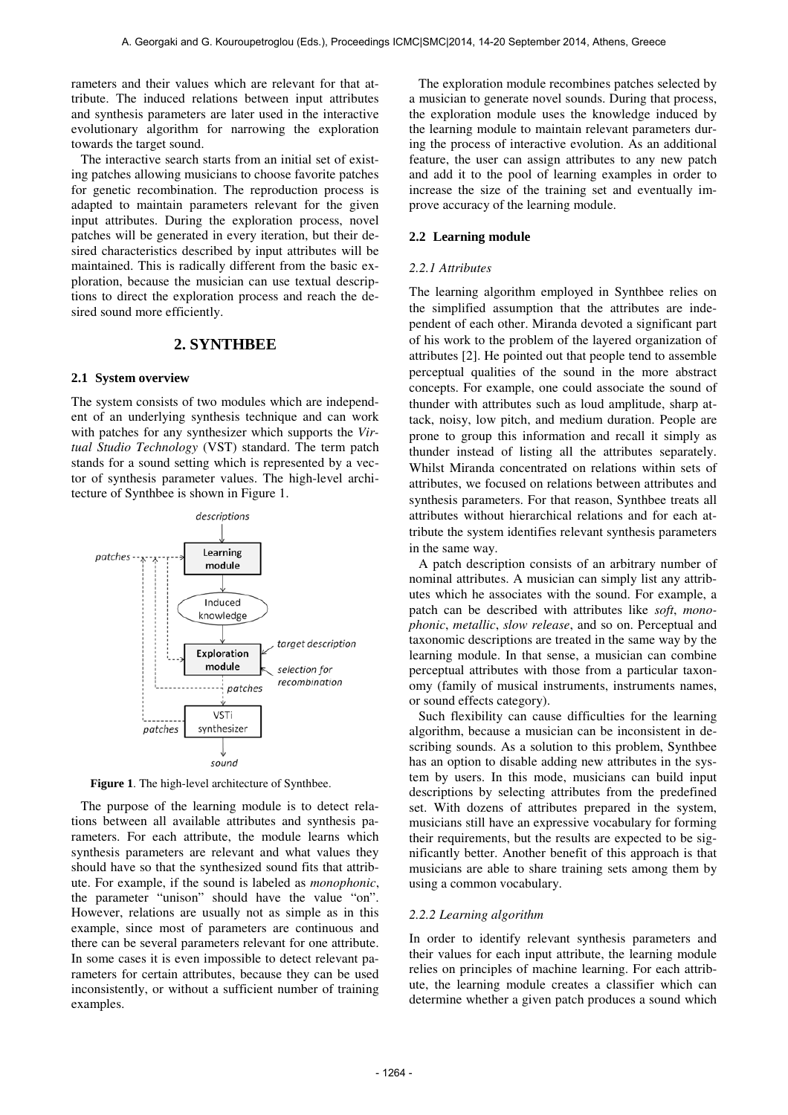rameters and their values which are relevant for that attribute. The induced relations between input attributes and synthesis parameters are later used in the interactive evolutionary algorithm for narrowing the exploration towards the target sound.

The interactive search starts from an initial set of existing patches allowing musicians to choose favorite patches for genetic recombination. The reproduction process is adapted to maintain parameters relevant for the given input attributes. During the exploration process, novel patches will be generated in every iteration, but their desired characteristics described by input attributes will be maintained. This is radically different from the basic exploration, because the musician can use textual descriptions to direct the exploration process and reach the desired sound more efficiently.

# **2. SYNTHBEE**

### **2.1 System overview**

The system consists of two modules which are independent of an underlying synthesis technique and can work with patches for any synthesizer which supports the *Virtual Studio Technology* (VST) standard. The term patch stands for a sound setting which is represented by a vector of synthesis parameter values. The high-level architecture of Synthbee is shown in Figure 1.



**Figure 1**. The high-level architecture of Synthbee.

The purpose of the learning module is to detect relations between all available attributes and synthesis parameters. For each attribute, the module learns which synthesis parameters are relevant and what values they should have so that the synthesized sound fits that attribute. For example, if the sound is labeled as *monophonic*, the parameter "unison" should have the value "on". However, relations are usually not as simple as in this example, since most of parameters are continuous and there can be several parameters relevant for one attribute. In some cases it is even impossible to detect relevant parameters for certain attributes, because they can be used inconsistently, or without a sufficient number of training examples.

The exploration module recombines patches selected by a musician to generate novel sounds. During that process, the exploration module uses the knowledge induced by the learning module to maintain relevant parameters during the process of interactive evolution. As an additional feature, the user can assign attributes to any new patch and add it to the pool of learning examples in order to increase the size of the training set and eventually improve accuracy of the learning module.

#### **2.2 Learning module**

#### *2.2.1 Attributes*

The learning algorithm employed in Synthbee relies on the simplified assumption that the attributes are independent of each other. Miranda devoted a significant part of his work to the problem of the layered organization of attributes [2]. He pointed out that people tend to assemble perceptual qualities of the sound in the more abstract concepts. For example, one could associate the sound of thunder with attributes such as loud amplitude, sharp attack, noisy, low pitch, and medium duration. People are prone to group this information and recall it simply as thunder instead of listing all the attributes separately. Whilst Miranda concentrated on relations within sets of attributes, we focused on relations between attributes and synthesis parameters. For that reason, Synthbee treats all attributes without hierarchical relations and for each attribute the system identifies relevant synthesis parameters in the same way.

A patch description consists of an arbitrary number of nominal attributes. A musician can simply list any attributes which he associates with the sound. For example, a patch can be described with attributes like *soft*, *monophonic*, *metallic*, *slow release*, and so on. Perceptual and taxonomic descriptions are treated in the same way by the learning module. In that sense, a musician can combine perceptual attributes with those from a particular taxonomy (family of musical instruments, instruments names, or sound effects category).

Such flexibility can cause difficulties for the learning algorithm, because a musician can be inconsistent in describing sounds. As a solution to this problem, Synthbee has an option to disable adding new attributes in the system by users. In this mode, musicians can build input descriptions by selecting attributes from the predefined set. With dozens of attributes prepared in the system, musicians still have an expressive vocabulary for forming their requirements, but the results are expected to be significantly better. Another benefit of this approach is that musicians are able to share training sets among them by using a common vocabulary.

#### *2.2.2 Learning algorithm*

In order to identify relevant synthesis parameters and their values for each input attribute, the learning module relies on principles of machine learning. For each attribute, the learning module creates a classifier which can determine whether a given patch produces a sound which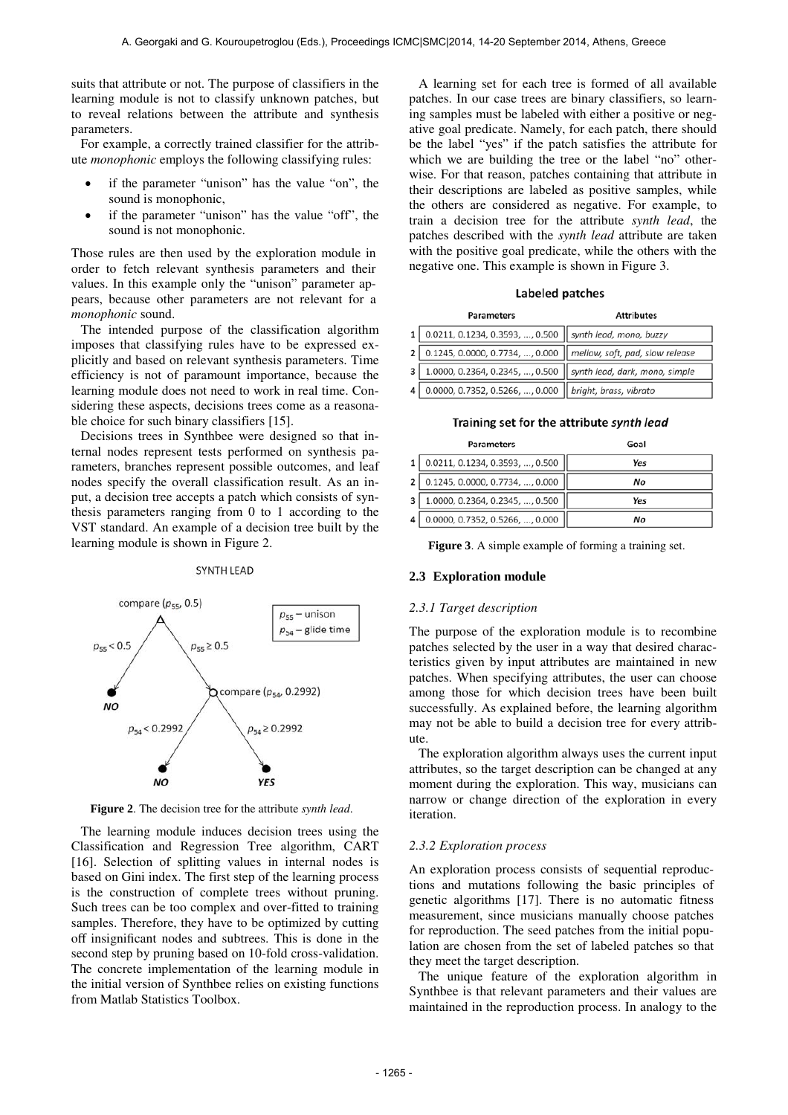suits that attribute or not. The purpose of classifiers in the learning module is not to classify unknown patches, but to reveal relations between the attribute and synthesis parameters.

For example, a correctly trained classifier for the attribute *monophonic* employs the following classifying rules:

- if the parameter "unison" has the value "on", the sound is monophonic,
- if the parameter "unison" has the value "off", the sound is not monophonic.

Those rules are then used by the exploration module in order to fetch relevant synthesis parameters and their values. In this example only the "unison" parameter appears, because other parameters are not relevant for a *monophonic* sound.

The intended purpose of the classification algorithm imposes that classifying rules have to be expressed explicitly and based on relevant synthesis parameters. Time efficiency is not of paramount importance, because the learning module does not need to work in real time. Considering these aspects, decisions trees come as a reasonable choice for such binary classifiers [15].

Decisions trees in Synthbee were designed so that internal nodes represent tests performed on synthesis parameters, branches represent possible outcomes, and leaf nodes specify the overall classification result. As an input, a decision tree accepts a patch which consists of synthesis parameters ranging from 0 to 1 according to the VST standard. An example of a decision tree built by the learning module is shown in Figure 2.

#### **SYNTH LEAD**



**Figure 2**. The decision tree for the attribute *synth lead*.

The learning module induces decision trees using the Classification and Regression Tree algorithm, CART [16]. Selection of splitting values in internal nodes is based on Gini index. The first step of the learning process is the construction of complete trees without pruning. Such trees can be too complex and over-fitted to training samples. Therefore, they have to be optimized by cutting off insignificant nodes and subtrees. This is done in the second step by pruning based on 10-fold cross-validation. The concrete implementation of the learning module in the initial version of Synthbee relies on existing functions from Matlab Statistics Toolbox.

A learning set for each tree is formed of all available patches. In our case trees are binary classifiers, so learning samples must be labeled with either a positive or negative goal predicate. Namely, for each patch, there should be the label "yes" if the patch satisfies the attribute for which we are building the tree or the label "no" otherwise. For that reason, patches containing that attribute in their descriptions are labeled as positive samples, while the others are considered as negative. For example, to train a decision tree for the attribute *synth lead*, the patches described with the *synth lead* attribute are taken with the positive goal predicate, while the others with the negative one. This example is shown in Figure 3.

#### Labeled patches

|   | <b>Parameters</b>                                                 | <b>Attributes</b> |  |
|---|-------------------------------------------------------------------|-------------------|--|
|   | $1   0.0211, 0.1234, 0.3593, , 0.500  $ synth lead, mono, buzzy   |                   |  |
|   | 2 0.1245, 0.0000, 0.7734, , 0.000 mellow, soft, pad, slow release |                   |  |
|   | 3 1.0000, 0.2364, 0.2345, , 0.500 Synth lead, dark, mono, simple  |                   |  |
| 4 | 0.0000, 0.7352, 0.5266, , 0.000   bright, brass, vibrato          |                   |  |

### Training set for the attribute synth lead

|   | <b>Parameters</b>               | Goal |  |
|---|---------------------------------|------|--|
|   | 0.0211, 0.1234, 0.3593, , 0.500 | Yes  |  |
|   | 0.1245, 0.0000, 0.7734, , 0.000 | No   |  |
| 3 | 1.0000, 0.2364, 0.2345, , 0.500 | Yes  |  |
|   | 0.0000, 0.7352, 0.5266, , 0.000 | Νo   |  |

**Figure 3**. A simple example of forming a training set.

### **2.3 Exploration module**

## *2.3.1 Target description*

The purpose of the exploration module is to recombine patches selected by the user in a way that desired characteristics given by input attributes are maintained in new patches. When specifying attributes, the user can choose among those for which decision trees have been built successfully. As explained before, the learning algorithm may not be able to build a decision tree for every attribute.

The exploration algorithm always uses the current input attributes, so the target description can be changed at any moment during the exploration. This way, musicians can narrow or change direction of the exploration in every iteration.

## *2.3.2 Exploration process*

An exploration process consists of sequential reproductions and mutations following the basic principles of genetic algorithms [17]. There is no automatic fitness measurement, since musicians manually choose patches for reproduction. The seed patches from the initial population are chosen from the set of labeled patches so that they meet the target description.

The unique feature of the exploration algorithm in Synthbee is that relevant parameters and their values are maintained in the reproduction process. In analogy to the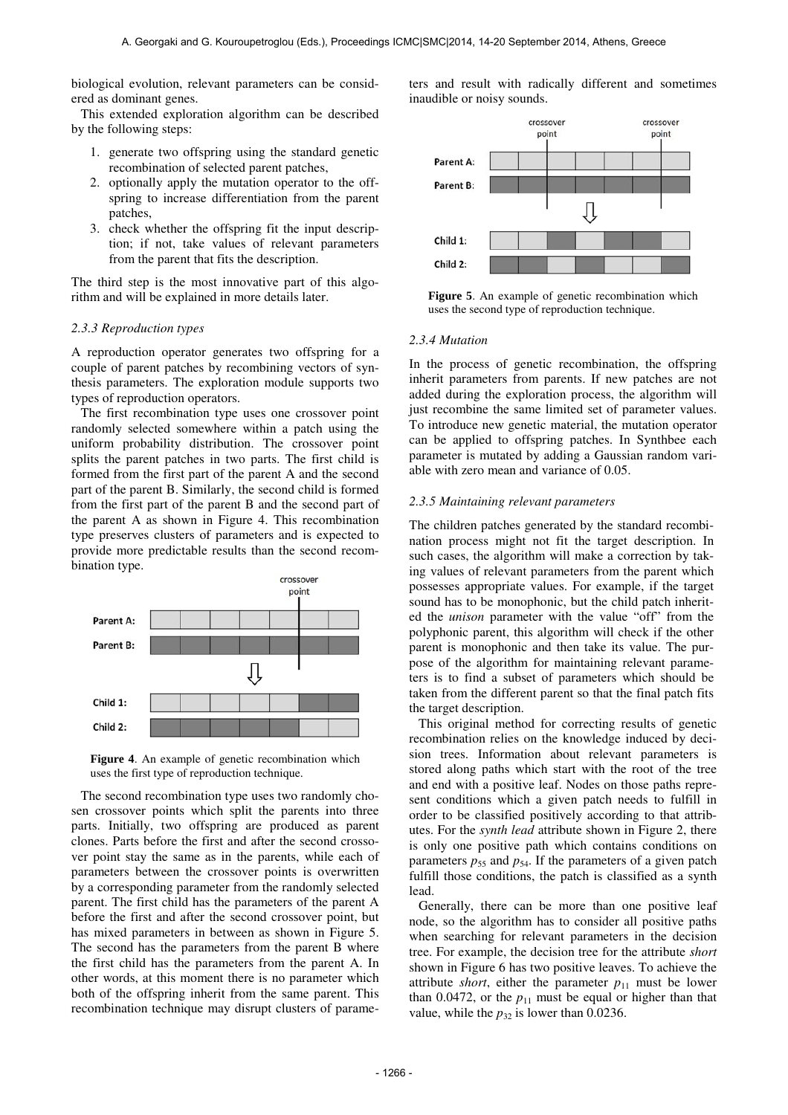biological evolution, relevant parameters can be considered as dominant genes.

This extended exploration algorithm can be described by the following steps:

- 1. generate two offspring using the standard genetic recombination of selected parent patches,
- 2. optionally apply the mutation operator to the offspring to increase differentiation from the parent patches,
- 3. check whether the offspring fit the input description; if not, take values of relevant parameters from the parent that fits the description.

The third step is the most innovative part of this algorithm and will be explained in more details later.

#### *2.3.3 Reproduction types*

A reproduction operator generates two offspring for a couple of parent patches by recombining vectors of synthesis parameters. The exploration module supports two types of reproduction operators.

The first recombination type uses one crossover point randomly selected somewhere within a patch using the uniform probability distribution. The crossover point splits the parent patches in two parts. The first child is formed from the first part of the parent A and the second part of the parent B. Similarly, the second child is formed from the first part of the parent B and the second part of the parent A as shown in Figure 4. This recombination type preserves clusters of parameters and is expected to provide more predictable results than the second recombination type.





The second recombination type uses two randomly chosen crossover points which split the parents into three parts. Initially, two offspring are produced as parent clones. Parts before the first and after the second crossover point stay the same as in the parents, while each of parameters between the crossover points is overwritten by a corresponding parameter from the randomly selected parent. The first child has the parameters of the parent A before the first and after the second crossover point, but has mixed parameters in between as shown in Figure 5. The second has the parameters from the parent B where the first child has the parameters from the parent A. In other words, at this moment there is no parameter which both of the offspring inherit from the same parent. This recombination technique may disrupt clusters of parameters and result with radically different and sometimes inaudible or noisy sounds.



**Figure 5**. An example of genetic recombination which uses the second type of reproduction technique.

#### *2.3.4 Mutation*

In the process of genetic recombination, the offspring inherit parameters from parents. If new patches are not added during the exploration process, the algorithm will just recombine the same limited set of parameter values. To introduce new genetic material, the mutation operator can be applied to offspring patches. In Synthbee each parameter is mutated by adding a Gaussian random variable with zero mean and variance of 0.05.

# *2.3.5 Maintaining relevant parameters*

The children patches generated by the standard recombination process might not fit the target description. In such cases, the algorithm will make a correction by taking values of relevant parameters from the parent which possesses appropriate values. For example, if the target sound has to be monophonic, but the child patch inherited the *unison* parameter with the value "off" from the polyphonic parent, this algorithm will check if the other parent is monophonic and then take its value. The purpose of the algorithm for maintaining relevant parameters is to find a subset of parameters which should be taken from the different parent so that the final patch fits the target description.

This original method for correcting results of genetic recombination relies on the knowledge induced by decision trees. Information about relevant parameters is stored along paths which start with the root of the tree and end with a positive leaf. Nodes on those paths represent conditions which a given patch needs to fulfill in order to be classified positively according to that attributes. For the *synth lead* attribute shown in Figure 2, there is only one positive path which contains conditions on parameters  $p_{55}$  and  $p_{54}$ . If the parameters of a given patch fulfill those conditions, the patch is classified as a synth lead.

Generally, there can be more than one positive leaf node, so the algorithm has to consider all positive paths when searching for relevant parameters in the decision tree. For example, the decision tree for the attribute *short* shown in Figure 6 has two positive leaves. To achieve the attribute *short*, either the parameter  $p_{11}$  must be lower than  $0.0472$ , or the  $p_{11}$  must be equal or higher than that value, while the  $p_{32}$  is lower than 0.0236.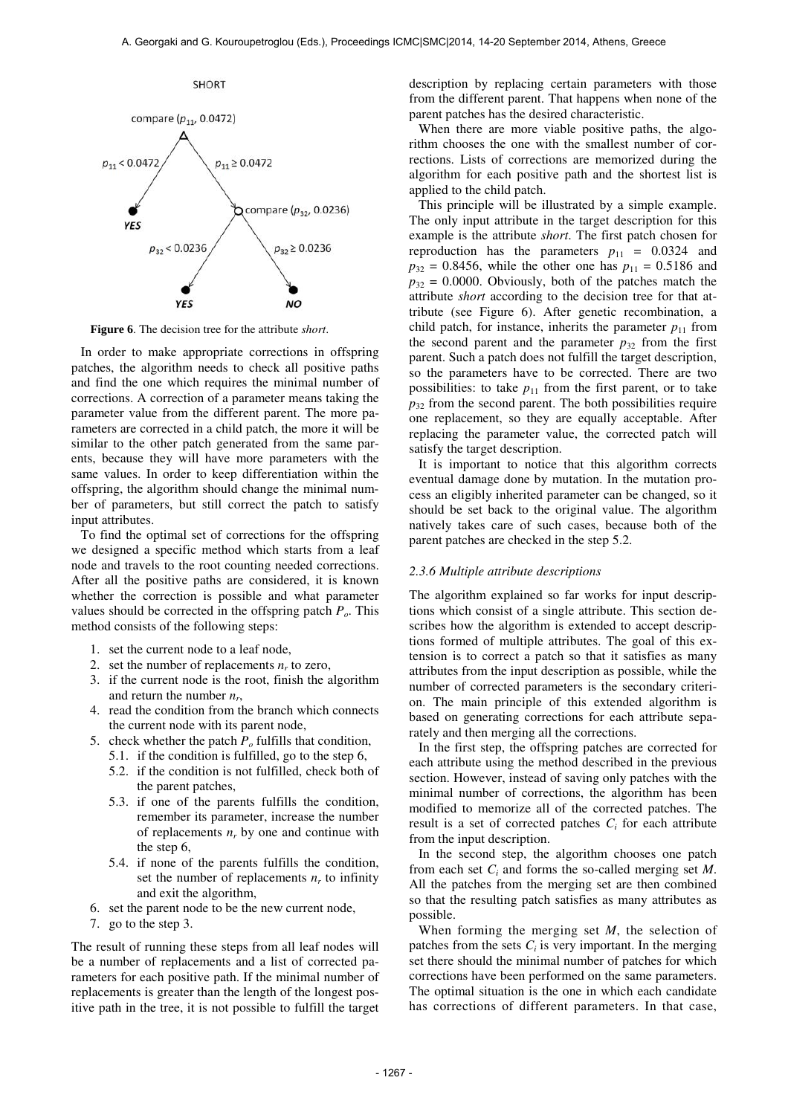

**Figure 6**. The decision tree for the attribute *short*.

In order to make appropriate corrections in offspring patches, the algorithm needs to check all positive paths and find the one which requires the minimal number of corrections. A correction of a parameter means taking the parameter value from the different parent. The more parameters are corrected in a child patch, the more it will be similar to the other patch generated from the same parents, because they will have more parameters with the same values. In order to keep differentiation within the offspring, the algorithm should change the minimal number of parameters, but still correct the patch to satisfy input attributes.

To find the optimal set of corrections for the offspring we designed a specific method which starts from a leaf node and travels to the root counting needed corrections. After all the positive paths are considered, it is known whether the correction is possible and what parameter values should be corrected in the offspring patch *Po*. This method consists of the following steps:

- 1. set the current node to a leaf node,
- 2. set the number of replacements  $n_r$  to zero,
- 3. if the current node is the root, finish the algorithm and return the number *n<sup>r</sup>* ,
- 4. read the condition from the branch which connects the current node with its parent node,
- 5. check whether the patch  $P$ <sup> $o$ </sup> fulfills that condition,
	- 5.1. if the condition is fulfilled, go to the step 6,
	- 5.2. if the condition is not fulfilled, check both of the parent patches,
	- 5.3. if one of the parents fulfills the condition, remember its parameter, increase the number of replacements  $n_r$  by one and continue with the step 6,
	- 5.4. if none of the parents fulfills the condition, set the number of replacements  $n_r$  to infinity and exit the algorithm,
- 6. set the parent node to be the new current node,
- 7. go to the step 3.

The result of running these steps from all leaf nodes will be a number of replacements and a list of corrected parameters for each positive path. If the minimal number of replacements is greater than the length of the longest positive path in the tree, it is not possible to fulfill the target description by replacing certain parameters with those from the different parent. That happens when none of the parent patches has the desired characteristic.

When there are more viable positive paths, the algorithm chooses the one with the smallest number of corrections. Lists of corrections are memorized during the algorithm for each positive path and the shortest list is applied to the child patch.

This principle will be illustrated by a simple example. The only input attribute in the target description for this example is the attribute *short*. The first patch chosen for reproduction has the parameters  $p_{11} = 0.0324$  and  $p_{32} = 0.8456$ , while the other one has  $p_{11} = 0.5186$  and  $p_{32} = 0.0000$ . Obviously, both of the patches match the attribute *short* according to the decision tree for that attribute (see Figure 6). After genetic recombination, a child patch, for instance, inherits the parameter  $p_{11}$  from the second parent and the parameter  $p_{32}$  from the first parent. Such a patch does not fulfill the target description, so the parameters have to be corrected. There are two possibilities: to take  $p_{11}$  from the first parent, or to take  $p_{32}$  from the second parent. The both possibilities require one replacement, so they are equally acceptable. After replacing the parameter value, the corrected patch will satisfy the target description.

It is important to notice that this algorithm corrects eventual damage done by mutation. In the mutation process an eligibly inherited parameter can be changed, so it should be set back to the original value. The algorithm natively takes care of such cases, because both of the parent patches are checked in the step 5.2.

#### *2.3.6 Multiple attribute descriptions*

The algorithm explained so far works for input descriptions which consist of a single attribute. This section describes how the algorithm is extended to accept descriptions formed of multiple attributes. The goal of this extension is to correct a patch so that it satisfies as many attributes from the input description as possible, while the number of corrected parameters is the secondary criterion. The main principle of this extended algorithm is based on generating corrections for each attribute separately and then merging all the corrections.

In the first step, the offspring patches are corrected for each attribute using the method described in the previous section. However, instead of saving only patches with the minimal number of corrections, the algorithm has been modified to memorize all of the corrected patches. The result is a set of corrected patches  $C_i$  for each attribute from the input description.

In the second step, the algorithm chooses one patch from each set  $C_i$  and forms the so-called merging set  $M$ . All the patches from the merging set are then combined so that the resulting patch satisfies as many attributes as possible.

When forming the merging set *M*, the selection of patches from the sets  $C_i$  is very important. In the merging set there should the minimal number of patches for which corrections have been performed on the same parameters. The optimal situation is the one in which each candidate has corrections of different parameters. In that case,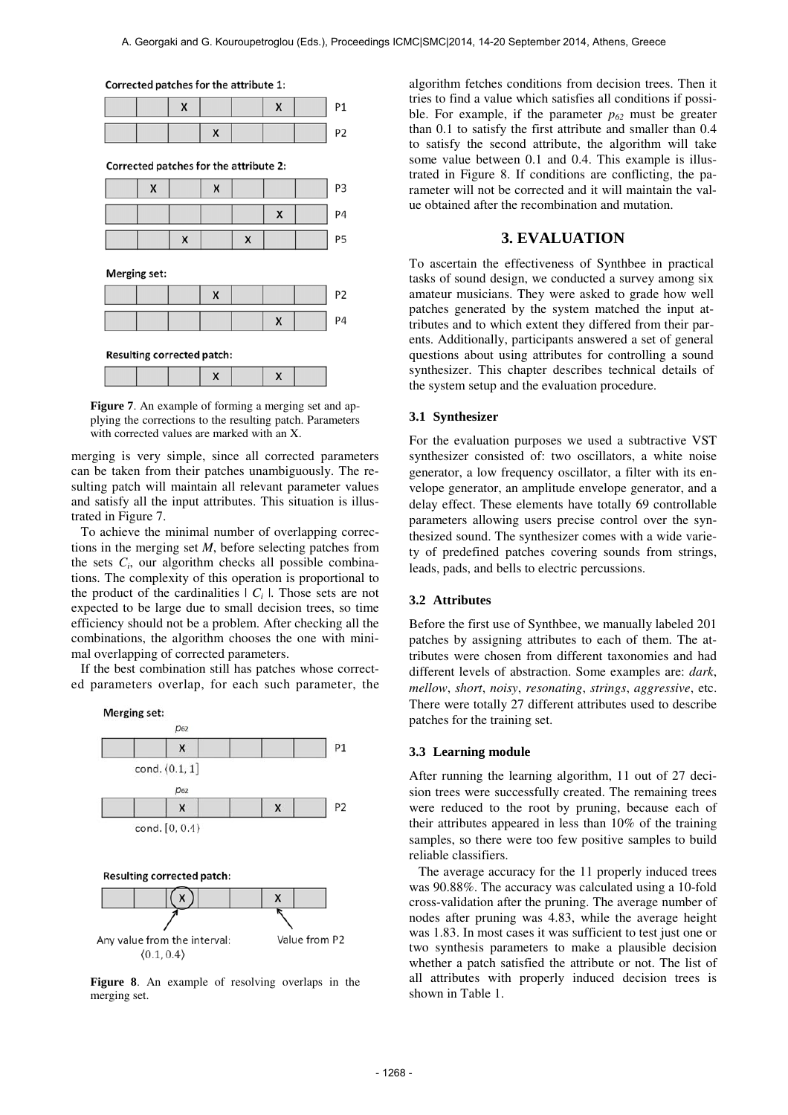$P<sub>1</sub>$ P<sub>2</sub>

Corrected patches for the attribute 2:

Corrected patches for the attribute 1:





Figure 7. An example of forming a merging set and applying the corrections to the resulting patch. Parameters with corrected values are marked with an X.

merging is very simple, since all corrected parameters can be taken from their patches unambiguously. The resulting patch will maintain all relevant parameter values and satisfy all the input attributes. This situation is illustrated in Figure 7.

To achieve the minimal number of overlapping corrections in the merging set *M*, before selecting patches from the sets  $C_i$ , our algorithm checks all possible combinations. The complexity of this operation is proportional to the product of the cardinalities  $| C_i |$ . Those sets are not expected to be large due to small decision trees, so time efficiency should not be a problem. After checking all the combinations, the algorithm chooses the one with minimal overlapping of corrected parameters.

If the best combination still has patches whose corrected parameters overlap, for each such parameter, the



**Figure 8**. An example of resolving overlaps in the merging set.

algorithm fetches conditions from decision trees. Then it tries to find a value which satisfies all conditions if possible. For example, if the parameter  $p_{62}$  must be greater than 0.1 to satisfy the first attribute and smaller than 0.4 to satisfy the second attribute, the algorithm will take some value between 0.1 and 0.4. This example is illustrated in Figure 8. If conditions are conflicting, the parameter will not be corrected and it will maintain the value obtained after the recombination and mutation.

# **3. EVALUATION**

To ascertain the effectiveness of Synthbee in practical tasks of sound design, we conducted a survey among six amateur musicians. They were asked to grade how well patches generated by the system matched the input attributes and to which extent they differed from their parents. Additionally, participants answered a set of general questions about using attributes for controlling a sound synthesizer. This chapter describes technical details of the system setup and the evaluation procedure.

### **3.1 Synthesizer**

For the evaluation purposes we used a subtractive VST synthesizer consisted of: two oscillators, a white noise generator, a low frequency oscillator, a filter with its envelope generator, an amplitude envelope generator, and a delay effect. These elements have totally 69 controllable parameters allowing users precise control over the synthesized sound. The synthesizer comes with a wide variety of predefined patches covering sounds from strings, leads, pads, and bells to electric percussions.

# **3.2 Attributes**

Before the first use of Synthbee, we manually labeled 201 patches by assigning attributes to each of them. The attributes were chosen from different taxonomies and had different levels of abstraction. Some examples are: *dark*, *mellow*, *short*, *noisy*, *resonating*, *strings*, *aggressive*, etc. There were totally 27 different attributes used to describe patches for the training set.

#### **3.3 Learning module**

After running the learning algorithm, 11 out of 27 decision trees were successfully created. The remaining trees were reduced to the root by pruning, because each of their attributes appeared in less than 10% of the training samples, so there were too few positive samples to build reliable classifiers.

The average accuracy for the 11 properly induced trees was 90.88%. The accuracy was calculated using a 10-fold cross-validation after the pruning. The average number of nodes after pruning was 4.83, while the average height was 1.83. In most cases it was sufficient to test just one or two synthesis parameters to make a plausible decision whether a patch satisfied the attribute or not. The list of all attributes with properly induced decision trees is shown in Table 1.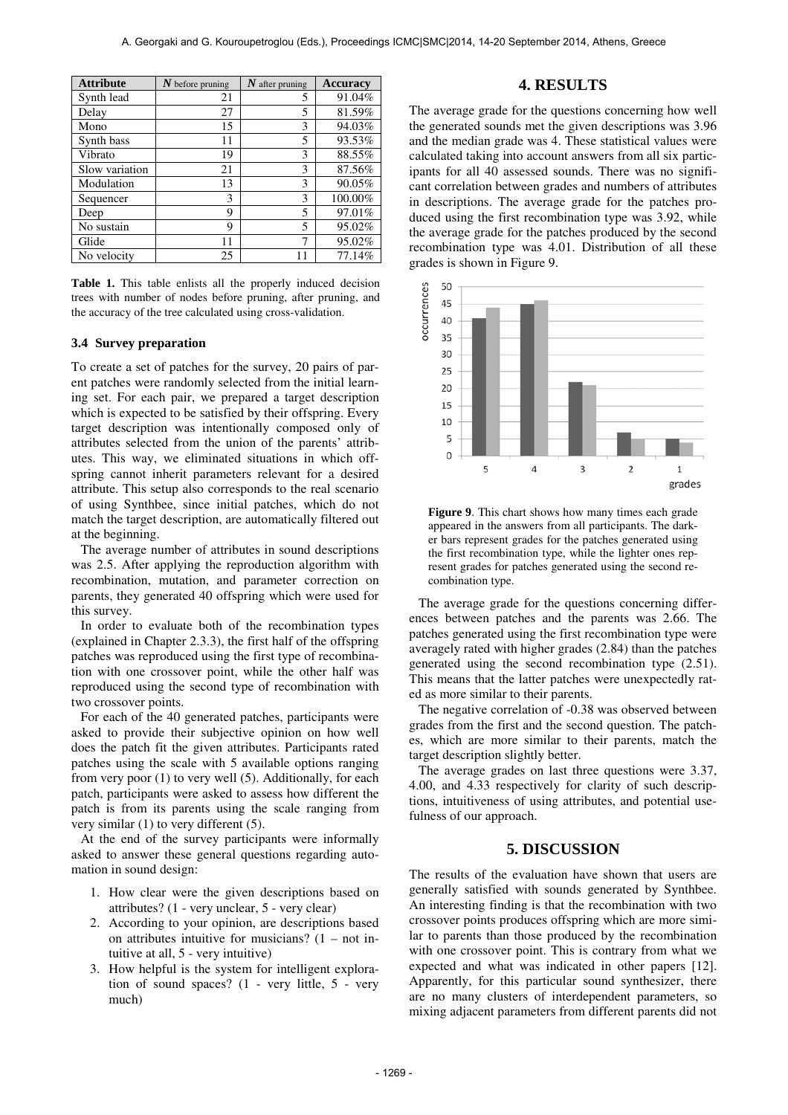| <b>Attribute</b> | $N$ before pruning | $N$ after pruning | <b>Accuracy</b> |
|------------------|--------------------|-------------------|-----------------|
| Synth lead       | 21                 | 5                 | 91.04%          |
| Delay            | 27                 | 5                 | 81.59%          |
| Mono             | 15                 | 3                 | 94.03%          |
| Synth bass       | 11                 | 5                 | 93.53%          |
| Vibrato          | 19                 | 3                 | 88.55%          |
| Slow variation   | 21                 | 3                 | 87.56%          |
| Modulation       | 13                 | 3                 | 90.05%          |
| Sequencer        | 3                  | 3                 | 100.00%         |
| Deep             | 9                  | 5                 | 97.01%          |
| No sustain       | 9                  | 5                 | 95.02%          |
| Glide            | 11                 | 7                 | 95.02%          |
| No velocity      | 25                 | 11                | 77.14%          |

**Table 1.** This table enlists all the properly induced decision trees with number of nodes before pruning, after pruning, and the accuracy of the tree calculated using cross-validation.

### **3.4 Survey preparation**

To create a set of patches for the survey, 20 pairs of parent patches were randomly selected from the initial learning set. For each pair, we prepared a target description which is expected to be satisfied by their offspring. Every target description was intentionally composed only of attributes selected from the union of the parents' attributes. This way, we eliminated situations in which offspring cannot inherit parameters relevant for a desired attribute. This setup also corresponds to the real scenario of using Synthbee, since initial patches, which do not match the target description, are automatically filtered out at the beginning.

The average number of attributes in sound descriptions was 2.5. After applying the reproduction algorithm with recombination, mutation, and parameter correction on parents, they generated 40 offspring which were used for this survey.

In order to evaluate both of the recombination types (explained in Chapter 2.3.3), the first half of the offspring patches was reproduced using the first type of recombination with one crossover point, while the other half was reproduced using the second type of recombination with two crossover points.

For each of the 40 generated patches, participants were asked to provide their subjective opinion on how well does the patch fit the given attributes. Participants rated patches using the scale with 5 available options ranging from very poor (1) to very well (5). Additionally, for each patch, participants were asked to assess how different the patch is from its parents using the scale ranging from very similar (1) to very different (5).

At the end of the survey participants were informally asked to answer these general questions regarding automation in sound design:

- 1. How clear were the given descriptions based on attributes? (1 - very unclear, 5 - very clear)
- 2. According to your opinion, are descriptions based on attributes intuitive for musicians?  $(1 - not in$ tuitive at all, 5 - very intuitive)
- 3. How helpful is the system for intelligent exploration of sound spaces? (1 - very little, 5 - very much)

# **4. RESULTS**

The average grade for the questions concerning how well the generated sounds met the given descriptions was 3.96 and the median grade was 4. These statistical values were calculated taking into account answers from all six participants for all 40 assessed sounds. There was no significant correlation between grades and numbers of attributes in descriptions. The average grade for the patches produced using the first recombination type was 3.92, while the average grade for the patches produced by the second recombination type was 4.01. Distribution of all these grades is shown in Figure 9.



**Figure 9**. This chart shows how many times each grade appeared in the answers from all participants. The darker bars represent grades for the patches generated using the first recombination type, while the lighter ones represent grades for patches generated using the second recombination type.

The average grade for the questions concerning differences between patches and the parents was 2.66. The patches generated using the first recombination type were averagely rated with higher grades (2.84) than the patches generated using the second recombination type (2.51). This means that the latter patches were unexpectedly rated as more similar to their parents.

The negative correlation of -0.38 was observed between grades from the first and the second question. The patches, which are more similar to their parents, match the target description slightly better.

The average grades on last three questions were 3.37, 4.00, and 4.33 respectively for clarity of such descriptions, intuitiveness of using attributes, and potential usefulness of our approach.

# **5. DISCUSSION**

The results of the evaluation have shown that users are generally satisfied with sounds generated by Synthbee. An interesting finding is that the recombination with two crossover points produces offspring which are more similar to parents than those produced by the recombination with one crossover point. This is contrary from what we expected and what was indicated in other papers [12]. Apparently, for this particular sound synthesizer, there are no many clusters of interdependent parameters, so mixing adjacent parameters from different parents did not